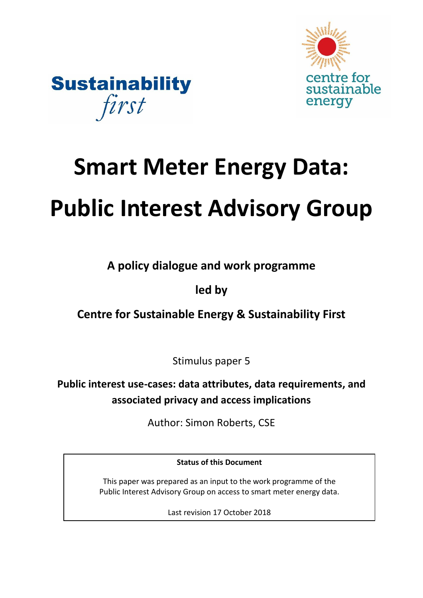



# **Smart Meter Energy Data: Public Interest Advisory Group**

**A policy dialogue and work programme** 

# **led by**

# **Centre for Sustainable Energy & Sustainability First**

Stimulus paper 5

**Public interest use-cases: data attributes, data requirements, and associated privacy and access implications**

Author: Simon Roberts, CSE

**Status of this Document**

This paper was prepared as an input to the work programme of the Public Interest Advisory Group on access to smart meter energy data.

Last revision 17 October 2018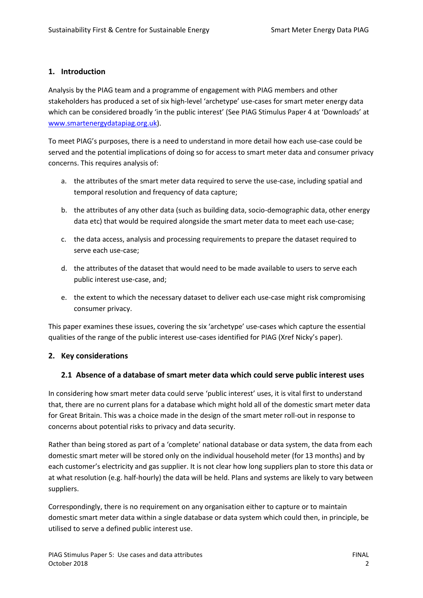## **1. Introduction**

Analysis by the PIAG team and a programme of engagement with PIAG members and other stakeholders has produced a set of six high-level 'archetype' use-cases for smart meter energy data which can be considered broadly 'in the public interest' (See PIAG Stimulus Paper 4 at 'Downloads' at [www.smartenergydatapiag.org.uk\)](http://www.smartenergydatapiag.org.uk/).

To meet PIAG's purposes, there is a need to understand in more detail how each use-case could be served and the potential implications of doing so for access to smart meter data and consumer privacy concerns. This requires analysis of:

- a. the attributes of the smart meter data required to serve the use-case, including spatial and temporal resolution and frequency of data capture;
- b. the attributes of any other data (such as building data, socio-demographic data, other energy data etc) that would be required alongside the smart meter data to meet each use-case;
- c. the data access, analysis and processing requirements to prepare the dataset required to serve each use-case;
- d. the attributes of the dataset that would need to be made available to users to serve each public interest use-case, and;
- e. the extent to which the necessary dataset to deliver each use-case might risk compromising consumer privacy.

This paper examines these issues, covering the six 'archetype' use-cases which capture the essential qualities of the range of the public interest use-cases identified for PIAG (Xref Nicky's paper).

# **2. Key considerations**

#### <span id="page-1-0"></span>**2.1 Absence of a database of smart meter data which could serve public interest uses**

In considering how smart meter data could serve 'public interest' uses, it is vital first to understand that, there are no current plans for a database which might hold all of the domestic smart meter data for Great Britain. This was a choice made in the design of the smart meter roll-out in response to concerns about potential risks to privacy and data security.

Rather than being stored as part of a 'complete' national database or data system, the data from each domestic smart meter will be stored only on the individual household meter (for 13 months) and by each customer's electricity and gas supplier. It is not clear how long suppliers plan to store this data or at what resolution (e.g. half-hourly) the data will be held. Plans and systems are likely to vary between suppliers.

Correspondingly, there is no requirement on any organisation either to capture or to maintain domestic smart meter data within a single database or data system which could then, in principle, be utilised to serve a defined public interest use.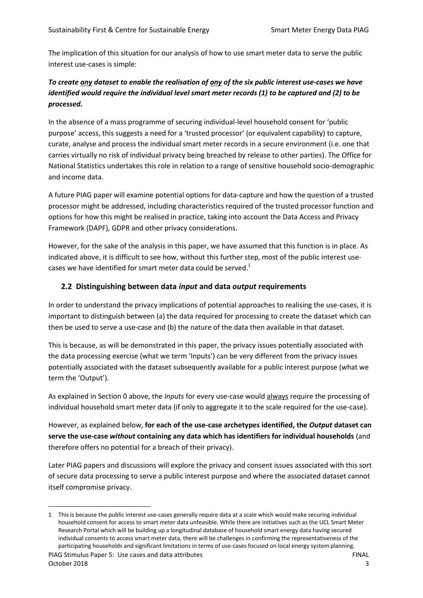The implication of this situation for our analysis of how to use smart meter data to serve the public interest use-cases is simple:

# *To create any dataset to enable the realisation of any of the six public interest use-cases we have identified would require the individual level smart meter records (1) to be captured and (2) to be processed.*

In the absence of a mass programme of securing individual-level household consent for 'public purpose' access, this suggests a need for a 'trusted processor' (or equivalent capability) to capture, curate, analyse and process the individual smart meter records in a secure environment (i.e. one that carries virtually no risk of individual privacy being breached by release to other parties). The Office for National Statistics undertakes this role in relation to a range of sensitive household socio-demographic and income data.

A future PIAG paper will examine potential options for data-capture and how the question of a trusted processor might be addressed, including characteristics required of the trusted processor function and options for how this might be realised in practice, taking into account the Data Access and Privacy Framework (DAPF), GDPR and other privacy considerations.

However, for the sake of the analysis in this paper, we have assumed that this function is in place. As indicated above, it is difficult to see how, without this further step, most of the public interest usecases we have identified for smart meter data could be served. $1$ 

## **2.2 Distinguishing between data** *input* **and data** *output* **requirements**

In order to understand the privacy implications of potential approaches to realising the use-cases, it is important to distinguish between (a) the data required for processing to create the dataset which can then be used to serve a use-case and (b) the nature of the data then available in that dataset.

This is because, as will be demonstrated in this paper, the privacy issues potentially associated with the data processing exercise (what we term 'Inputs') can be very different from the privacy issues potentially associated with the dataset subsequently available for a public interest purpose (what we term the 'Output').

As explained in Section [0 above,](#page-1-0) the *Inputs* for every use-case would always require the processing of individual household smart meter data (if only to aggregate it to the scale required for the use-case).

However, as explained below, **for each of the use-case archetypes identified, the** *Output* **dataset can serve the use-case** *without* **containing any data which has identifiers for individual households** (and therefore offers no potential for a breach of their privacy).

Later PIAG papers and discussions will explore the privacy and consent issues associated with this sort of secure data processing to serve a public interest purpose and where the associated dataset cannot itself compromise privacy.

 $\overline{a}$ 

PIAG Stimulus Paper 5: Use cases and data attributes FINAL 1 This is because the public interest use-cases generally require data at a scale which would make securing individual household consent for access to smart meter data unfeasible. While there are initiatives such as the UCL Smart Meter Research Portal which will be building up a longitudinal database of household smart energy data having secured individual consents to access smart meter data, there will be challenges in confirming the representativeness of the participating households and significant limitations in terms of use-cases focused on local energy system planning.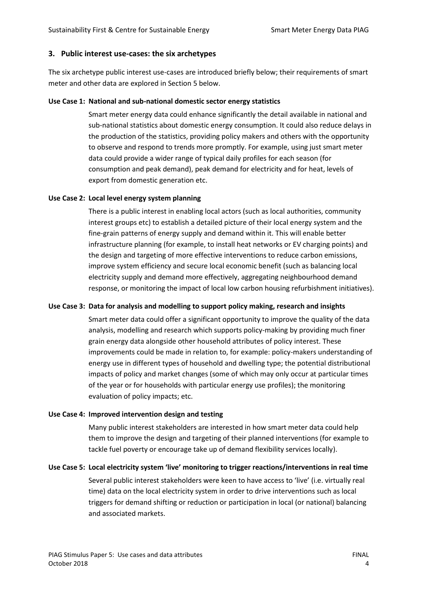#### **3. Public interest use-cases: the six archetypes**

The six archetype public interest use-cases are introduced briefly below; their requirements of smart meter and other data are explored in Section [5](#page-5-0) below.

#### **Use Case 1: National and sub-national domestic sector energy statistics**

Smart meter energy data could enhance significantly the detail available in national and sub-national statistics about domestic energy consumption. It could also reduce delays in the production of the statistics, providing policy makers and others with the opportunity to observe and respond to trends more promptly. For example, using just smart meter data could provide a wider range of typical daily profiles for each season (for consumption and peak demand), peak demand for electricity and for heat, levels of export from domestic generation etc.

#### **Use Case 2: Local level energy system planning**

There is a public interest in enabling local actors (such as local authorities, community interest groups etc) to establish a detailed picture of their local energy system and the fine-grain patterns of energy supply and demand within it. This will enable better infrastructure planning (for example, to install heat networks or EV charging points) and the design and targeting of more effective interventions to reduce carbon emissions, improve system efficiency and secure local economic benefit (such as balancing local electricity supply and demand more effectively, aggregating neighbourhood demand response, or monitoring the impact of local low carbon housing refurbishment initiatives).

#### **Use Case 3: Data for analysis and modelling to support policy making, research and insights**

Smart meter data could offer a significant opportunity to improve the quality of the data analysis, modelling and research which supports policy-making by providing much finer grain energy data alongside other household attributes of policy interest. These improvements could be made in relation to, for example: policy-makers understanding of energy use in different types of household and dwelling type; the potential distributional impacts of policy and market changes (some of which may only occur at particular times of the year or for households with particular energy use profiles); the monitoring evaluation of policy impacts; etc.

#### **Use Case 4: Improved intervention design and testing**

Many public interest stakeholders are interested in how smart meter data could help them to improve the design and targeting of their planned interventions (for example to tackle fuel poverty or encourage take up of demand flexibility services locally).

#### **Use Case 5: Local electricity system 'live' monitoring to trigger reactions/interventions in real time**

Several public interest stakeholders were keen to have access to 'live' (i.e. virtually real time) data on the local electricity system in order to drive interventions such as local triggers for demand shifting or reduction or participation in local (or national) balancing and associated markets.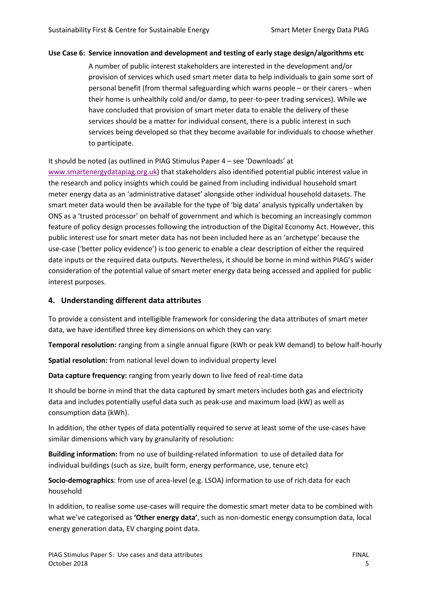#### **Use Case 6: Service innovation and development and testing of early stage design/algorithms etc**

A number of public interest stakeholders are interested in the development and/or provision of services which used smart meter data to help individuals to gain some sort of personal benefit (from thermal safeguarding which warns people – or their carers - when their home is unhealthily cold and/or damp, to peer-to-peer trading services). While we have concluded that provision of smart meter data to enable the delivery of these services should be a matter for individual consent, there is a public interest in such services being developed so that they become available for individuals to choose whether to participate.

#### It should be noted (as outlined in PIAG Stimulus Paper 4 – see 'Downloads' at

[www.smartenergydatapiag.org.uk\)](http://www.smartenergydatapiag.org.uk/) that stakeholders also identified potential public interest value in the research and policy insights which could be gained from including individual household smart meter energy data as an 'administrative dataset' alongside other individual household datasets. The smart meter data would then be available for the type of 'big data' analysis typically undertaken by ONS as a 'trusted processor' on behalf of government and which is becoming an increasingly common feature of policy design processes following the introduction of the Digital Economy Act. However, this public interest use for smart meter data has not been included here as an 'archetype' because the use-case ('better policy evidence') is too generic to enable a clear description of either the required date inputs or the required data outputs. Nevertheless, it should be borne in mind within PIAG's wider consideration of the potential value of smart meter energy data being accessed and applied for public interest purposes.

#### **4. Understanding different data attributes**

To provide a consistent and intelligible framework for considering the data attributes of smart meter data, we have identified three key dimensions on which they can vary:

**Temporal resolution:** ranging from a single annual figure (kWh or peak kW demand) to below half-hourly

**Spatial resolution:** from national level down to individual property level

**Data capture frequency:** ranging from yearly down to live feed of real-time data

It should be borne in mind that the data captured by smart meters includes both gas and electricity data and includes potentially useful data such as peak-use and maximum load (kW) as well as consumption data (kWh).

In addition, the other types of data potentially required to serve at least some of the use-cases have similar dimensions which vary by granularity of resolution:

**Building information:** from no use of building-related information to use of detailed data for individual buildings (such as size, built form, energy performance, use, tenure etc)

**Socio-demographics**: from use of area-level (e.g. LSOA) information to use of rich data for each household

In addition, to realise some use-cases will require the domestic smart meter data to be combined with what we've categorised as **'Other energy data'**, such as non-domestic energy consumption data, local energy generation data, EV charging point data.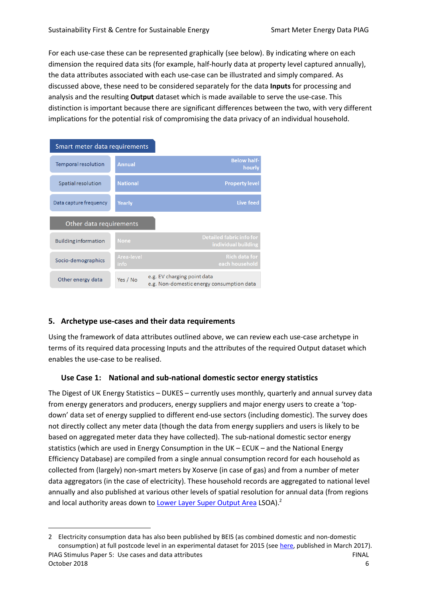For each use-case these can be represented graphically (see below). By indicating where on each dimension the required data sits (for example, half-hourly data at property level captured annually), the data attributes associated with each use-case can be illustrated and simply compared. As discussed above, these need to be considered separately for the data **Inputs** for processing and analysis and the resulting **Output** dataset which is made available to serve the use-case. This distinction is important because there are significant differences between the two, with very different implications for the potential risk of compromising the data privacy of an individual household.

| Smart meter data requirements |                    |                                                                          |  |  |  |
|-------------------------------|--------------------|--------------------------------------------------------------------------|--|--|--|
| <b>Temporal resolution</b>    | <b>Annual</b>      | <b>Below half-</b><br>hourly                                             |  |  |  |
| Spatial resolution            | <b>National</b>    | <b>Property level</b>                                                    |  |  |  |
| Data capture frequency        | Yearly             | Live feed                                                                |  |  |  |
| Other data requirements       |                    |                                                                          |  |  |  |
| <b>Building information</b>   | <b>None</b>        | <b>Detailed fabric info for</b><br>individual building                   |  |  |  |
| Socio-demographics            | Area-level<br>info | <b>Rich data for</b><br>each household                                   |  |  |  |
| Other energy data             | Yes / No           | e.g. EV charging point data<br>e.g. Non-domestic energy consumption data |  |  |  |

#### <span id="page-5-0"></span>**5. Archetype use-cases and their data requirements**

 $\overline{a}$ 

Using the framework of data attributes outlined above, we can review each use-case archetype in terms of its required data processing Inputs and the attributes of the required Output dataset which enables the use-case to be realised.

#### **Use Case 1: National and sub-national domestic sector energy statistics**

The Digest of UK Energy Statistics – DUKES – currently uses monthly, quarterly and annual survey data from energy generators and producers, energy suppliers and major energy users to create a 'topdown' data set of energy supplied to different end-use sectors (including domestic). The survey does not directly collect any meter data (though the data from energy suppliers and users is likely to be based on aggregated meter data they have collected). The sub-national domestic sector energy statistics (which are used in Energy Consumption in the UK – ECUK – and the National Energy Efficiency Database) are compiled from a single annual consumption record for each household as collected from (largely) non-smart meters by Xoserve (in case of gas) and from a number of meter data aggregators (in the case of electricity). These household records are aggregated to national level annually and also published at various other levels of spatial resolution for annual data (from regions and local authority areas down to *Lower Layer Super Output Area* LSOA).<sup>2</sup>

PIAG Stimulus Paper 5: Use cases and data attributes FINAL October 2018 6 2 Electricity consumption data has also been published by BEIS (as combined domestic and non-domestic consumption) at full postcode level in an experimental dataset for 2015 (see [here,](https://www.gov.uk/government/statistics/postcode-level-electricity-estimates-2015-experimental) published in March 2017).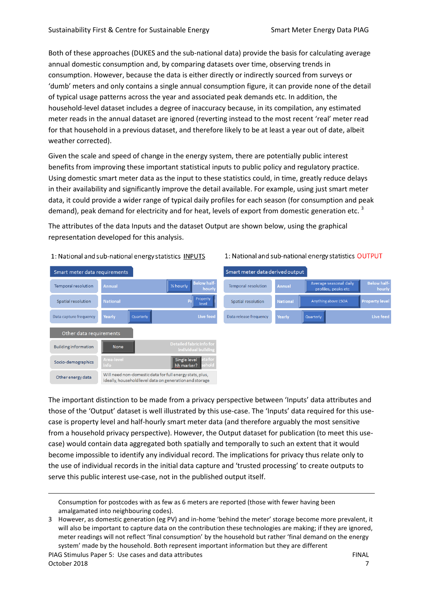Both of these approaches (DUKES and the sub-national data) provide the basis for calculating average annual domestic consumption and, by comparing datasets over time, observing trends in consumption. However, because the data is either directly or indirectly sourced from surveys or 'dumb' meters and only contains a single annual consumption figure, it can provide none of the detail of typical usage patterns across the year and associated peak demands etc. In addition, the household-level dataset includes a degree of inaccuracy because, in its compilation, any estimated meter reads in the annual dataset are ignored (reverting instead to the most recent 'real' meter read for that household in a previous dataset, and therefore likely to be at least a year out of date, albeit weather corrected).

Given the scale and speed of change in the energy system, there are potentially public interest benefits from improving these important statistical inputs to public policy and regulatory practice. Using domestic smart meter data as the input to these statistics could, in time, greatly reduce delays in their availability and significantly improve the detail available. For example, using just smart meter data, it could provide a wider range of typical daily profiles for each season (for consumption and peak demand), peak demand for electricity and for heat, levels of export from domestic generation etc.<sup>3</sup>

The attributes of the data Inputs and the dataset Output are shown below, using the graphical representation developed for this analysis.

#### 1: National and sub-national energy statistics INPUTS

1: National and sub-national energy statistics OUTPUT

| Smart meter data requirements |                           |           |                                                                                                                     | Smart meter data derived output |                 |                                               |                              |  |
|-------------------------------|---------------------------|-----------|---------------------------------------------------------------------------------------------------------------------|---------------------------------|-----------------|-----------------------------------------------|------------------------------|--|
| Temporal resolution           | <b>Annual</b>             |           | <b>Below half-</b><br>1/2 hourly<br>hourly                                                                          | <b>Temporal resolution</b>      | <b>Annual</b>   | Average seasonal daily<br>profiles, peaks etc | <b>Below half-</b><br>hourly |  |
| Spatial resolution            | <b>National</b>           |           | Property<br>level                                                                                                   | Spatial resolution              | <b>National</b> | Anything above LSOA                           | <b>Property level</b>        |  |
| Data capture frequency        | Yearly                    | Quarterly | Live feed                                                                                                           | Data release frequency          | Yearly          | Quarterly                                     | Live feed                    |  |
| Other data requirements       |                           |           |                                                                                                                     |                                 |                 |                                               |                              |  |
| <b>Building information</b>   | None                      |           | Detailed fabric info for<br>individual building                                                                     |                                 |                 |                                               |                              |  |
| Socio-demographics            | <b>Area-level</b><br>info |           | ata for<br><b>Single level</b><br>sehold<br>hh marker?                                                              |                                 |                 |                                               |                              |  |
| Other energy data             |                           |           | Will need non-domestic data for full energy stats, plus,<br>ideally, bousebold level data on generation and storage |                                 |                 |                                               |                              |  |

The important distinction to be made from a privacy perspective between 'Inputs' data attributes and those of the 'Output' dataset is well illustrated by this use-case. The 'Inputs' data required for this usecase is property level and half-hourly smart meter data (and therefore arguably the most sensitive from a household privacy perspective). However, the Output dataset for publication (to meet this usecase) would contain data aggregated both spatially and temporally to such an extent that it would become impossible to identify any individual record. The implications for privacy thus relate only to the use of individual records in the initial data capture and 'trusted processing' to create outputs to serve this public interest use-case, not in the published output itself.

 $\overline{a}$ 

Consumption for postcodes with as few as 6 meters are reported (those with fewer having been amalgamated into neighbouring codes).

<sup>3</sup> However, as domestic generation (eg PV) and in-home 'behind the meter' storage become more prevalent, it will also be important to capture data on the contribution these technologies are making; if they are ignored, meter readings will not reflect 'final consumption' by the household but rather 'final demand on the energy system' made by the household. Both represent important information but they are different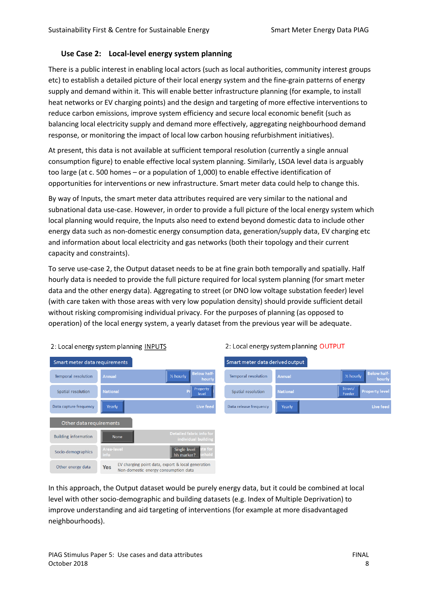# **Use Case 2: Local-level energy system planning**

There is a public interest in enabling local actors (such as local authorities, community interest groups etc) to establish a detailed picture of their local energy system and the fine-grain patterns of energy supply and demand within it. This will enable better infrastructure planning (for example, to install heat networks or EV charging points) and the design and targeting of more effective interventions to reduce carbon emissions, improve system efficiency and secure local economic benefit (such as balancing local electricity supply and demand more effectively, aggregating neighbourhood demand response, or monitoring the impact of local low carbon housing refurbishment initiatives).

At present, this data is not available at sufficient temporal resolution (currently a single annual consumption figure) to enable effective local system planning. Similarly, LSOA level data is arguably too large (at c. 500 homes – or a population of 1,000) to enable effective identification of opportunities for interventions or new infrastructure. Smart meter data could help to change this.

By way of Inputs, the smart meter data attributes required are very similar to the national and subnational data use-case. However, in order to provide a full picture of the local energy system which local planning would require, the Inputs also need to extend beyond domestic data to include other energy data such as non-domestic energy consumption data, generation/supply data, EV charging etc and information about local electricity and gas networks (both their topology and their current capacity and constraints).

To serve use-case 2, the Output dataset needs to be at fine grain both temporally and spatially. Half hourly data is needed to provide the full picture required for local system planning (for smart meter data and the other energy data). Aggregating to street (or DNO low voltage substation feeder) level (with care taken with those areas with very low population density) should provide sufficient detail without risking compromising individual privacy. For the purposes of planning (as opposed to operation) of the local energy system, a yearly dataset from the previous year will be adequate.



2: Local energy system planning OUTPUT

2: Local energy system planning INPUTS

In this approach, the Output dataset would be purely energy data, but it could be combined at local level with other socio-demographic and building datasets (e.g. Index of Multiple Deprivation) to improve understanding and aid targeting of interventions (for example at more disadvantaged neighbourhoods).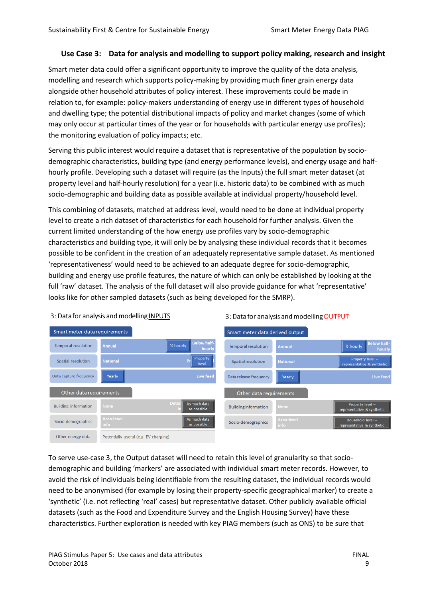#### **Use Case 3: Data for analysis and modelling to support policy making, research and insight**

Smart meter data could offer a significant opportunity to improve the quality of the data analysis, modelling and research which supports policy-making by providing much finer grain energy data alongside other household attributes of policy interest. These improvements could be made in relation to, for example: policy-makers understanding of energy use in different types of household and dwelling type; the potential distributional impacts of policy and market changes (some of which may only occur at particular times of the year or for households with particular energy use profiles); the monitoring evaluation of policy impacts; etc.

Serving this public interest would require a dataset that is representative of the population by sociodemographic characteristics, building type (and energy performance levels), and energy usage and halfhourly profile. Developing such a dataset will require (as the Inputs) the full smart meter dataset (at property level and half-hourly resolution) for a year (i.e. historic data) to be combined with as much socio-demographic and building data as possible available at individual property/household level.

This combining of datasets, matched at address level, would need to be done at individual property level to create a rich dataset of characteristics for each household for further analysis. Given the current limited understanding of the how energy use profiles vary by socio-demographic characteristics and building type, it will only be by analysing these individual records that it becomes possible to be confident in the creation of an adequately representative sample dataset. As mentioned 'representativeness' would need to be achieved to an adequate degree for socio-demographic, building and energy use profile features, the nature of which can only be established by looking at the full 'raw' dataset. The analysis of the full dataset will also provide guidance for what 'representative' looks like for other sampled datasets (such as being developed for the SMRP).



3: Data for analysis and modelling INPUTS

3: Data for analysis and modelling OUTPUT

To serve use-case 3, the Output dataset will need to retain this level of granularity so that sociodemographic and building 'markers' are associated with individual smart meter records. However, to avoid the risk of individuals being identifiable from the resulting dataset, the individual records would need to be anonymised (for example by losing their property-specific geographical marker) to create a 'synthetic' (i.e. not reflecting 'real' cases) but representative dataset. Other publicly available official datasets (such as the Food and Expenditure Survey and the English Housing Survey) have these characteristics. Further exploration is needed with key PIAG members (such as ONS) to be sure that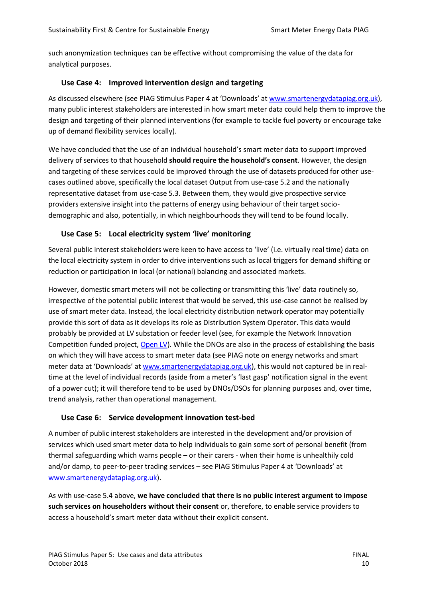such anonymization techniques can be effective without compromising the value of the data for analytical purposes.

# **Use Case 4: Improved intervention design and targeting**

As discussed elsewhere (see PIAG Stimulus Paper 4 at 'Downloads' at [www.smartenergydatapiag.org.uk\)](http://www.smartenergydatapiag.org.uk/), many public interest stakeholders are interested in how smart meter data could help them to improve the design and targeting of their planned interventions (for example to tackle fuel poverty or encourage take up of demand flexibility services locally).

We have concluded that the use of an individual household's smart meter data to support improved delivery of services to that household **should require the household's consent**. However, the design and targeting of these services could be improved through the use of datasets produced for other usecases outlined above, specifically the local dataset Output from use-case 5.2 and the nationally representative dataset from use-case 5.3. Between them, they would give prospective service providers extensive insight into the patterns of energy using behaviour of their target sociodemographic and also, potentially, in which neighbourhoods they will tend to be found locally.

# **Use Case 5: Local electricity system 'live' monitoring**

Several public interest stakeholders were keen to have access to 'live' (i.e. virtually real time) data on the local electricity system in order to drive interventions such as local triggers for demand shifting or reduction or participation in local (or national) balancing and associated markets.

However, domestic smart meters will not be collecting or transmitting this 'live' data routinely so, irrespective of the potential public interest that would be served, this use-case cannot be realised by use of smart meter data. Instead, the local electricity distribution network operator may potentially provide this sort of data as it develops its role as Distribution System Operator. This data would probably be provided at LV substation or feeder level (see, for example the Network Innovation Competition funded project, [Open LV\)](https://www.cse.org.uk/projects/view/1335). While the DNOs are also in the process of establishing the basis on which they will have access to smart meter data (see PIAG note on energy networks and smart meter data at 'Downloads' at [www.smartenergydatapiag.org.uk\)](http://www.smartenergydatapiag.org.uk/), this would not captured be in realtime at the level of individual records (aside from a meter's 'last gasp' notification signal in the event of a power cut); it will therefore tend to be used by DNOs/DSOs for planning purposes and, over time, trend analysis, rather than operational management.

# **Use Case 6: Service development innovation test-bed**

A number of public interest stakeholders are interested in the development and/or provision of services which used smart meter data to help individuals to gain some sort of personal benefit (from thermal safeguarding which warns people – or their carers - when their home is unhealthily cold and/or damp, to peer-to-peer trading services – see PIAG Stimulus Paper 4 at 'Downloads' at [www.smartenergydatapiag.org.uk\)](http://www.smartenergydatapiag.org.uk/).

As with use-case 5.4 above, **we have concluded that there is no public interest argument to impose such services on householders without their consent** or, therefore, to enable service providers to access a household's smart meter data without their explicit consent.